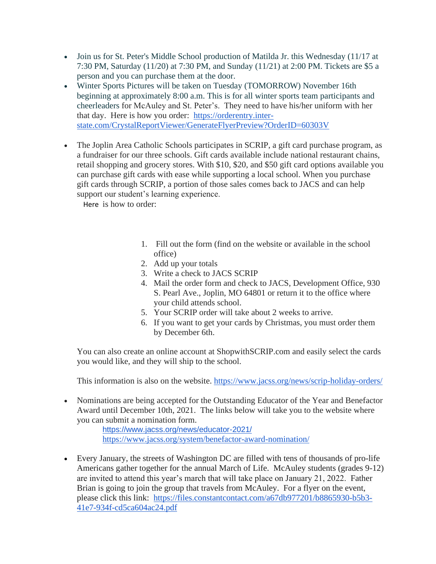- Join us for St. Peter's Middle School production of Matilda Jr. this Wednesday (11/17 at 7:30 PM, Saturday (11/20) at 7:30 PM, and Sunday (11/21) at 2:00 PM. Tickets are \$5 a person and you can purchase them at the door.
- Winter Sports Pictures will be taken on Tuesday (TOMORROW) November 16th beginning at approximately 8:00 a.m. This is for all winter sports team participants and cheerleaders for McAuley and St. Peter's. They need to have his/her uniform with her that day. Here is how you order: [https://orderentry.inter](https://orderentry.inter-state.com/CrystalReportViewer/GenerateFlyerPreview?OrderID=60303V)[state.com/CrystalReportViewer/GenerateFlyerPreview?OrderID=60303V](https://orderentry.inter-state.com/CrystalReportViewer/GenerateFlyerPreview?OrderID=60303V)
- The Joplin Area Catholic Schools participates in SCRIP, a gift card purchase program, as a fundraiser for our three schools. Gift cards available include national restaurant chains, retail shopping and grocery stores. With \$10, \$20, and \$50 gift card options available you can purchase gift cards with ease while supporting a local school. When you purchase gift cards through SCRIP, a portion of those sales comes back to JACS and can help support our student's learning experience.

Here is how to order:

- 1. Fill out the form (find on the website or available in the school office)
- 2. Add up your totals
- 3. Write a check to JACS SCRIP
- 4. Mail the order form and check to JACS, Development Office, 930 S. Pearl Ave., Joplin, MO 64801 or return it to the office where your child attends school.
- 5. Your SCRIP order will take about 2 weeks to arrive.
- 6. If you want to get your cards by Christmas, you must order them by December 6th.

You can also create an online account at ShopwithSCRIP.com and easily select the cards you would like, and they will ship to the school.

This information is also on the website. <https://www.jacss.org/news/scrip-holiday-orders/>

• Nominations are being accepted for the Outstanding Educator of the Year and Benefactor Award until December 10th, 2021. The links below will take you to the website where you can submit a nomination form.

<https://www.jacss.org/news/educator-2021/> <https://www.jacss.org/system/benefactor-award-nomination/>

• Every January, the streets of Washington DC are filled with tens of thousands of pro-life Americans gather together for the annual March of Life. McAuley students (grades 9-12) are invited to attend this year's march that will take place on January 21, 2022. Father Brian is going to join the group that travels from McAuley. For a flyer on the event, please click this link: [https://files.constantcontact.com/a67db977201/b8865930-b5b3-](https://files.constantcontact.com/a67db977201/b8865930-b5b3-41e7-934f-cd5ca604ac24.pdf) [41e7-934f-cd5ca604ac24.pdf](https://files.constantcontact.com/a67db977201/b8865930-b5b3-41e7-934f-cd5ca604ac24.pdf)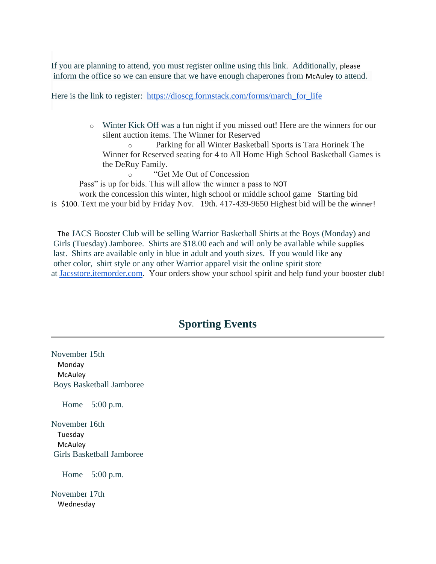If you are planning to attend, you must register online using this link. Additionally, please inform the office so we can ensure that we have enough chaperones from McAuley to attend.

Here is the link to register: [https://dioscg.formstack.com/forms/march\\_for\\_life](https://dioscg.formstack.com/forms/march_for_life)

o Winter Kick Off was a fun night if you missed out! Here are the winners for our silent auction items. The Winner for Reserved

o Parking for all Winter Basketball Sports is Tara Horinek The Winner for Reserved seating for 4 to All Home High School Basketball Games is the DeRuy Family.

o "Get Me Out of Concession

Pass" is up for bids. This will allow the winner a pass to NOT

work the concession this winter, high school or middle school game Starting bid is \$100. Text me your bid by Friday Nov. 19th. 417-439-9650 Highest bid will be the winner!

The JACS Booster Club will be selling Warrior Basketball Shirts at the Boys (Monday) and Girls (Tuesday) Jamboree. Shirts are \$18.00 each and will only be available while supplies last. Shirts are available only in blue in adult and youth sizes. If you would like any other color, shirt style or any other Warrior apparel visit the online spirit store at [Jacsstore.itemorder.com.](http://jacsstore.itemorder.com/) Your orders show your school spirit and help fund your booster club!

## **Sporting Events**

November 15th Monday **McAuley** Boys Basketball Jamboree

Home 5:00 p.m.

November 16th Tuesday **McAuley** Girls Basketball Jamboree

Home 5:00 p.m.

November 17th Wednesday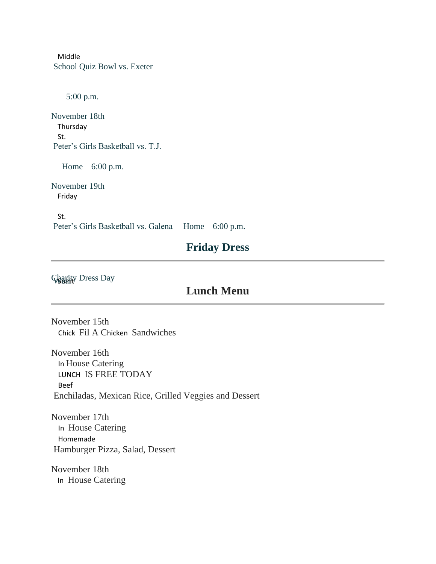Middle School Quiz Bowl vs. Exeter

5:00 p.m.

November 18th Thursday St. Peter's Girls Basketball vs. T.J.

Home 6:00 p.m.

November 19th Friday

St. Peter's Girls Basketball vs. Galena Home 6:00 p.m.

## **Friday Dress**

**Glagrity Dress Day** 

## **Lunch Menu**

November 15th Chick Fil A Chicken Sandwiches

November 16th In House Catering LUNCH IS FREE TODAY Beef Enchiladas, Mexican Rice, Grilled Veggies and Dessert

November 17th In House Catering Homemade Hamburger Pizza, Salad, Dessert

November 18th In House Catering